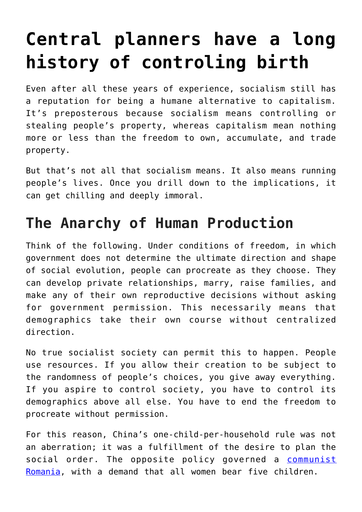# **[Central planners have a long](https://intellectualtakeout.org/2016/08/central-planners-have-a-long-history-of-controling-birth/) [history of controling birth](https://intellectualtakeout.org/2016/08/central-planners-have-a-long-history-of-controling-birth/)**

Even after all these years of experience, socialism still has a reputation for being a humane alternative to capitalism. It's preposterous because socialism means controlling or stealing people's property, whereas capitalism mean nothing more or less than the freedom to own, accumulate, and trade property.

But that's not all that socialism means. It also means running people's lives. Once you drill down to the implications, it can get chilling and deeply immoral.

## **The Anarchy of Human Production**

Think of the following. Under conditions of freedom, in which government does not determine the ultimate direction and shape of social evolution, people can procreate as they choose. They can develop private relationships, marry, raise families, and make any of their own reproductive decisions without asking for government permission. This necessarily means that demographics take their own course without centralized direction.

No true socialist society can permit this to happen. People use resources. If you allow their creation to be subject to the randomness of people's choices, you give away everything. If you aspire to control society, you have to control its demographics above all else. You have to end the freedom to procreate without permission.

For this reason, China's one-child-per-household rule was not an aberration; it was a fulfillment of the desire to plan the social order. The opposite policy governed a [communist](https://fee.org/articles/what-nicolae-ceausescu-can-teach-us-about-despotism/) [Romania](https://fee.org/articles/what-nicolae-ceausescu-can-teach-us-about-despotism/), with a demand that all women bear five children.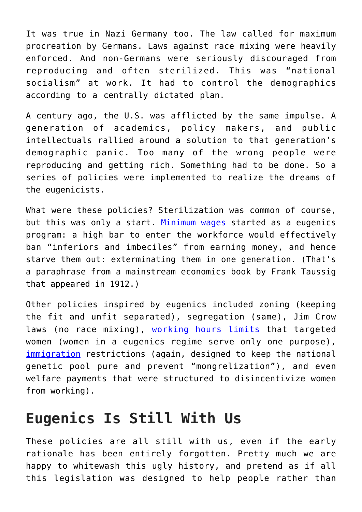It was true in Nazi Germany too. The law called for maximum procreation by Germans. Laws against race mixing were heavily enforced. And non-Germans were seriously discouraged from reproducing and often sterilized. This was "national socialism" at work. It had to control the demographics according to a centrally dictated plan.

A century ago, the U.S. was afflicted by the same impulse. A generation of academics, policy makers, and public intellectuals rallied around a solution to that generation's demographic panic. Too many of the wrong people were reproducing and getting rich. Something had to be done. So a series of policies were implemented to realize the dreams of the eugenicists.

What were these policies? Sterilization was common of course, but this was only a start. [Minimum wages](https://fee.org/articles/the-eugenics-plot-of-the-minimum-wage/) started as a eugenics program: a high bar to enter the workforce would effectively ban "inferiors and imbeciles" from earning money, and hence starve them out: exterminating them in one generation. (That's a paraphrase from a mainstream economics book by Frank Taussig that appeared in 1912.)

Other policies inspired by eugenics included zoning (keeping the fit and unfit separated), segregation (same), Jim Crow laws (no race mixing), [working hours limits](https://fee.org/articles/government-s-war-on-women-1900-1920/) that targeted women (women in a eugenics regime serve only one purpose), [immigration](https://fee.org/articles/policy-science-kills/) restrictions (again, designed to keep the national genetic pool pure and prevent "mongrelization"), and even welfare payments that were structured to disincentivize women from working).

#### **Eugenics Is Still With Us**

These policies are all still with us, even if the early rationale has been entirely forgotten. Pretty much we are happy to whitewash this ugly history, and pretend as if all this legislation was designed to help people rather than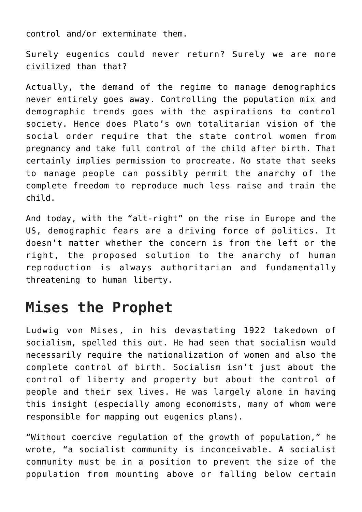control and/or exterminate them.

Surely eugenics could never return? Surely we are more civilized than that?

Actually, the demand of the regime to manage demographics never entirely goes away. Controlling the population mix and demographic trends goes with the aspirations to control society. Hence does Plato's own totalitarian vision of the social order require that the state control women from pregnancy and take full control of the child after birth. That certainly implies permission to procreate. No state that seeks to manage people can possibly permit the anarchy of the complete freedom to reproduce much less raise and train the child.

And today, with the "alt-right" on the rise in Europe and the US, demographic fears are a driving force of politics. It doesn't matter whether the concern is from the left or the right, the proposed solution to the anarchy of human reproduction is always authoritarian and fundamentally threatening to human liberty.

## **Mises the Prophet**

Ludwig von Mises, in his devastating 1922 takedown of socialism, spelled this out. He had seen that socialism would necessarily require the nationalization of women and also the complete control of birth. Socialism isn't just about the control of liberty and property but about the control of people and their sex lives. He was largely alone in having this insight (especially among economists, many of whom were responsible for mapping out eugenics plans).

"Without coercive regulation of the growth of population," he wrote, "a socialist community is inconceivable. A socialist community must be in a position to prevent the size of the population from mounting above or falling below certain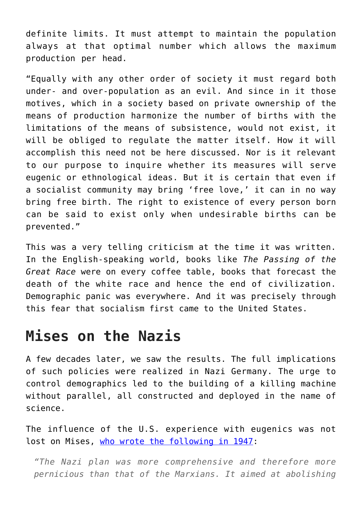definite limits. It must attempt to maintain the population always at that optimal number which allows the maximum production per head.

"Equally with any other order of society it must regard both under- and over-population as an evil. And since in it those motives, which in a society based on private ownership of the means of production harmonize the number of births with the limitations of the means of subsistence, would not exist, it will be obliged to regulate the matter itself. How it will accomplish this need not be here discussed. Nor is it relevant to our purpose to inquire whether its measures will serve eugenic or ethnological ideas. But it is certain that even if a socialist community may bring 'free love,' it can in no way bring free birth. The right to existence of every person born can be said to exist only when undesirable births can be prevented."

This was a very telling criticism at the time it was written. In the English-speaking world, books like *The Passing of the Great Race* were on every coffee table, books that forecast the death of the white race and hence the end of civilization. Demographic panic was everywhere. And it was precisely through this fear that socialism first came to the United States.

#### **Mises on the Nazis**

A few decades later, we saw the results. The full implications of such policies were realized in Nazi Germany. The urge to control demographics led to the building of a killing machine without parallel, all constructed and deployed in the name of science.

The influence of the U.S. experience with eugenics was not lost on Mises, [who wrote the following in 1947](https://fee.org/resources/planned-chaos-2/):

*"The Nazi plan was more comprehensive and therefore more pernicious than that of the Marxians. It aimed at abolishing*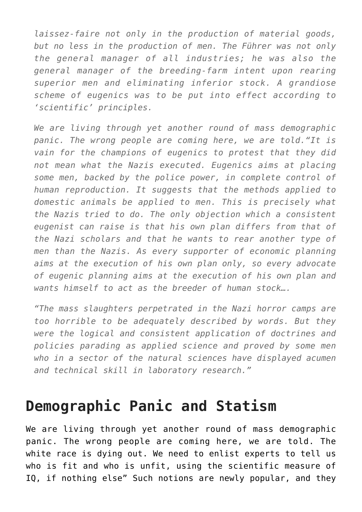*laissez-faire not only in the production of material goods, but no less in the production of men. The Führer was not only the general manager of all industries; he was also the general manager of the breeding-farm intent upon rearing superior men and eliminating inferior stock. A grandiose scheme of eugenics was to be put into effect according to 'scientific' principles.*

*We are living through yet another round of mass demographic panic. The wrong people are coming here, we are told."It is vain for the champions of eugenics to protest that they did not mean what the Nazis executed. Eugenics aims at placing some men, backed by the police power, in complete control of human reproduction. It suggests that the methods applied to domestic animals be applied to men. This is precisely what the Nazis tried to do. The only objection which a consistent eugenist can raise is that his own plan differs from that of the Nazi scholars and that he wants to rear another type of men than the Nazis. As every supporter of economic planning aims at the execution of his own plan only, so every advocate of eugenic planning aims at the execution of his own plan and wants himself to act as the breeder of human stock….*

*"The mass slaughters perpetrated in the Nazi horror camps are too horrible to be adequately described by words. But they were the logical and consistent application of doctrines and policies parading as applied science and proved by some men who in a sector of the natural sciences have displayed acumen and technical skill in laboratory research."*

## **Demographic Panic and Statism**

We are living through yet another round of mass demographic panic. The wrong people are coming here, we are told. The white race is dying out. We need to enlist experts to tell us who is fit and who is unfit, using the scientific measure of IQ, if nothing else" Such notions are newly popular, and they